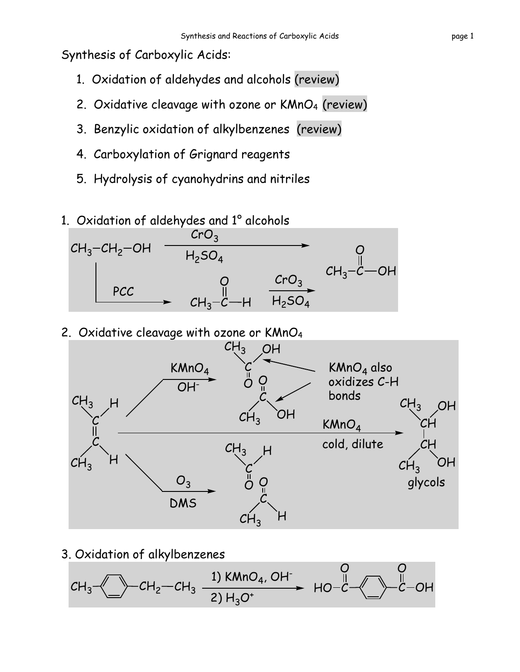Synthesis of Carboxylic Acids:

- 1. Oxidation of aldehydes and alcohols (review)
- 2. Oxidative cleavage with ozone or  $KMnO<sub>4</sub>$  (review)
- 3. Benzylic oxidation of alkylbenzenes (review)
- 4. Carboxylation of Grignard reagents
- 5. Hydrolysis of cyanohydrins and nitriles
- 1. Oxidation of aldehydes and 1° alcohols



2. Oxidative cleavage with ozone or KMnO4



3. Oxidation of alkylbenzenes

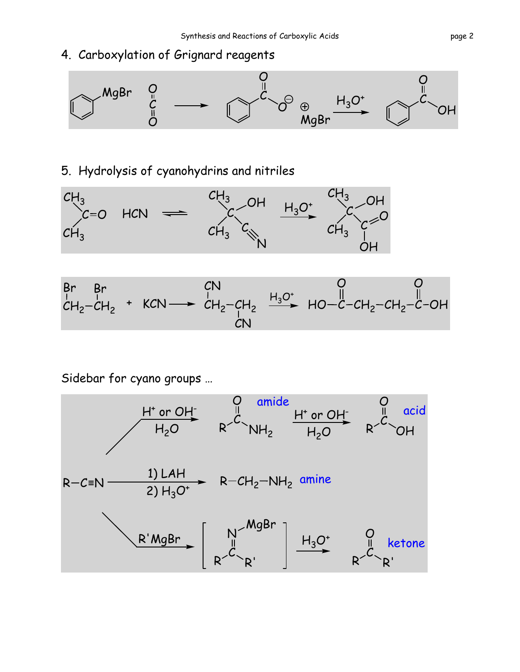## 4. Carboxylation of Grignard reagents



## 5. Hydrolysis of cyanohydrins and nitriles



H3O<sup>+</sup> CH2 CH2 Br Br <sup>+</sup> KCN CH2 CH2 CN CN C CH2 CH2 C O O HO OH

Sidebar for cyano groups …

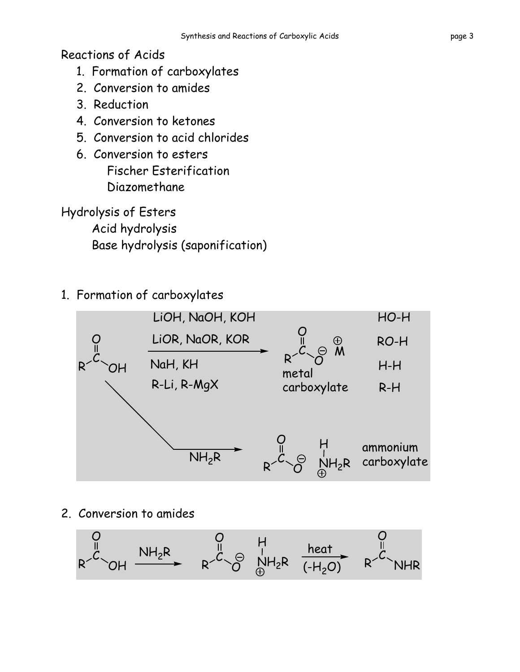Reactions of Acids

- 1. Formation of carboxylates
- 2. Conversion to amides
- 3. Reduction
- 4. Conversion to ketones
- 5. Conversion to acid chlorides
- 6. Conversion to esters Fischer Esterification Diazomethane
- Hydrolysis of Esters

Acid hydrolysis Base hydrolysis (saponification)

1. Formation of carboxylates



2. Conversion to amides

$$
R\stackrel{0}{\longrightarrow}OH\stackrel{NH_2R}{\longrightarrow}\nR\stackrel{0}{\longrightarrow}R\stackrel{H}{\longrightarrow}\nR\stackrel{heat}{\longrightarrow}\n\stackrel{heat}{\longrightarrow}\nR\stackrel{0}{\longrightarrow}\n\stackrel{H}{\longrightarrow}\n\stackrel{0}{\longrightarrow}\n\stackrel{0}{\longrightarrow}\n\stackrel{0}{\longrightarrow}\n\stackrel{0}{\longrightarrow}\n\stackrel{0}{\longrightarrow}\n\stackrel{0}{\longrightarrow}\n\stackrel{0}{\longrightarrow}\n\stackrel{0}{\longrightarrow}\n\stackrel{0}{\longrightarrow}\n\stackrel{0}{\longrightarrow}\n\stackrel{0}{\longrightarrow}\n\stackrel{0}{\longrightarrow}\n\stackrel{0}{\longrightarrow}\n\stackrel{0}{\longrightarrow}\n\stackrel{0}{\longrightarrow}\n\stackrel{0}{\longrightarrow}\n\stackrel{0}{\longrightarrow}\n\stackrel{0}{\longrightarrow}\n\stackrel{0}{\longrightarrow}\n\stackrel{0}{\longrightarrow}\n\stackrel{0}{\longrightarrow}\n\stackrel{0}{\longrightarrow}\n\stackrel{0}{\longrightarrow}\n\stackrel{0}{\longrightarrow}\n\stackrel{0}{\longrightarrow}\n\stackrel{0}{\longrightarrow}\n\stackrel{0}{\longrightarrow}\n\stackrel{0}{\longrightarrow}\n\stackrel{0}{\longrightarrow}\n\stackrel{0}{\longrightarrow}\n\stackrel{0}{\longrightarrow}\n\stackrel{0}{\longrightarrow}\n\stackrel{0}{\longrightarrow}\n\stackrel{0}{\longrightarrow}\n\stackrel{0}{\longrightarrow}\n\stackrel{0}{\longrightarrow}\n\stackrel{0}{\longrightarrow}\n\stackrel{0}{\longrightarrow}\n\stackrel{0}{\longrightarrow}\n\stackrel{0}{\longrightarrow}\n\stackrel{0}{\longrightarrow}\n\stackrel{0}{\longrightarrow}\n\stackrel{0}{\longrightarrow}\n\stackrel{0}{\longrightarrow}\n\stackrel{0}{\longrightarrow}\n\stackrel{0}{\longrightarrow}\n\stackrel{0}{\longrightarrow}\n\stackrel{0}{\longrightarrow}\n\stackrel{0}{\longrightarrow}\n\stackrel{0}{\longrightarrow}\n\stackrel{0}{\longrightarrow}\n\stackrel{0}{\longrightarrow}\n\stackrel{0}{\longrightarrow}\n\stackrel{0}{\longrightarrow}\n\stackrel{0}{\longrightarrow}\n\stackrel{0}{\longrightarrow}\n\stackrel{0}{\longrightarrow}\n\stackrel{0}{\longrightarrow}\n\stackrel{0}{\longrightarrow}\n\stackrel{0}{\longrightarrow}\n\stackrel{0}{\longrightarrow}\n\stackrel{0}{\longrightarrow}\n\stackrel{0}{\longrightarrow}\n\stackrel{0}{\longrightarrow}\n\stackrel{0}{\longrightarrow}\n\stackrel{0}{\longrightarrow}\n\stackrel{0}{\longrightarrow}\n\stack
$$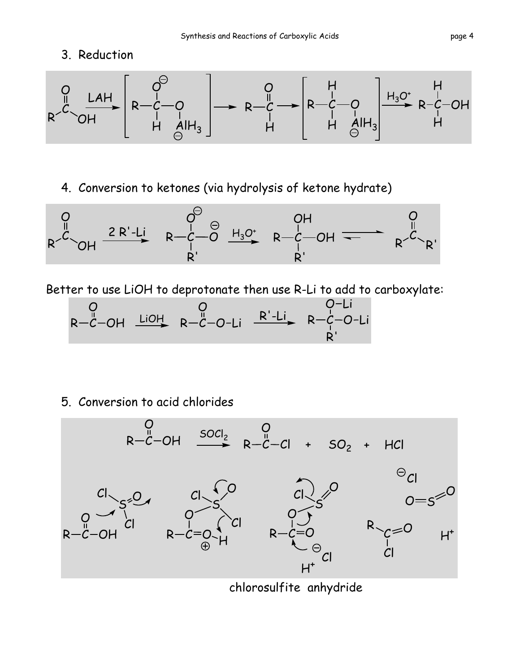## 3. Reduction



4. Conversion to ketones (via hydrolysis of ketone hydrate)



Better to use LiOH to deprotonate then use R-Li to add to carboxylate:

$$
\begin{array}{ccccc}\nO & O & O-Li \\
R & -C-OH & \xrightarrow{LiOH} & R-C-O-Li & \xrightarrow{R'-Li} & R-C-O-Li \\
R' & & & & R'\n\end{array}
$$

5. Conversion to acid chlorides



chlorosulfite anhydride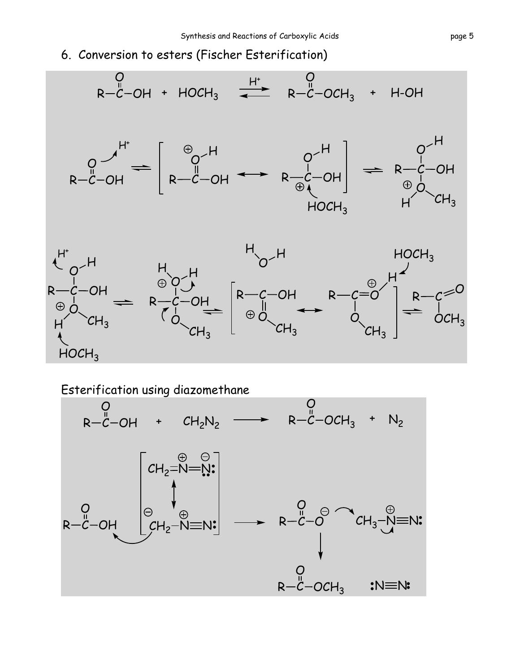6. Conversion to esters (Fischer Esterification)



Esterification using diazomethane

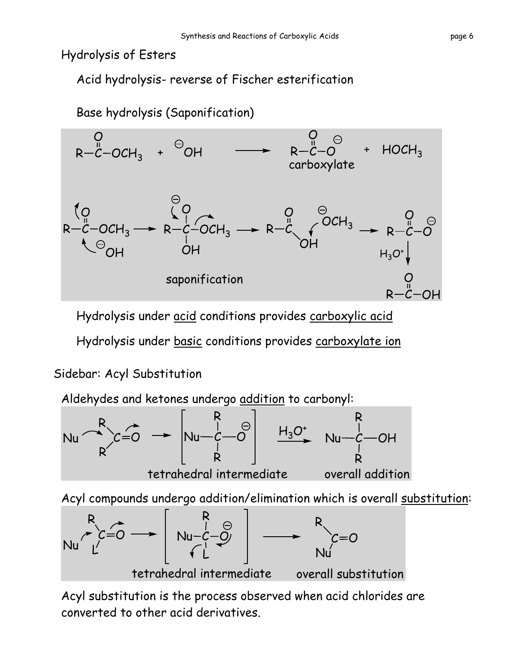Hydrolysis of Esters

Acid hydrolysis- reverse of Fischer esterification



Hydrolysis under acid conditions provides carboxylic acid Hydrolysis under basic conditions provides carboxylate ion

## Sidebar: Acyl Substitution



Acyl compounds undergo addition/elimination which is overall substitution:



Acyl substitution is the process observed when acid chlorides are converted to other acid derivatives.